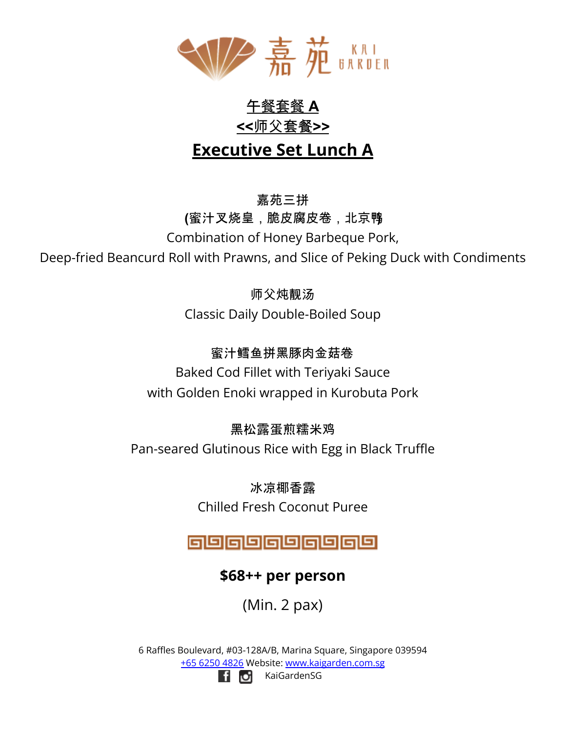

# 午餐套餐 **A <<**师父套餐**>> Executive Set Lunch A**

嘉苑三拼 **(**蜜汁叉烧皇,脆皮腐皮卷,北京鸭**)** Combination of Honey Barbeque Pork,

Deep-fried Beancurd Roll with Prawns, and Slice of Peking Duck with Condiments

师父炖靓汤 Classic Daily Double-Boiled Soup

蜜汁鳕鱼拼黑豚肉金菇卷

Baked Cod Fillet with Teriyaki Sauce with Golden Enoki wrapped in Kurobuta Pork

黑松露蛋煎糯米鸡

Pan-seared Glutinous Rice with Egg in Black Truffle

冰凉椰香露 Chilled Fresh Coconut Puree

@@@@@@@@@@

## **\$68++ per person**

(Min. 2 pax)

6 Raffles Boulevard, #03-128A/B, Marina Square, Singapore 039594 +65 6250 4826 Website: [www.kaigarden.com.sg](http://www.kaigarden.com.sg) KaiGardenSGli di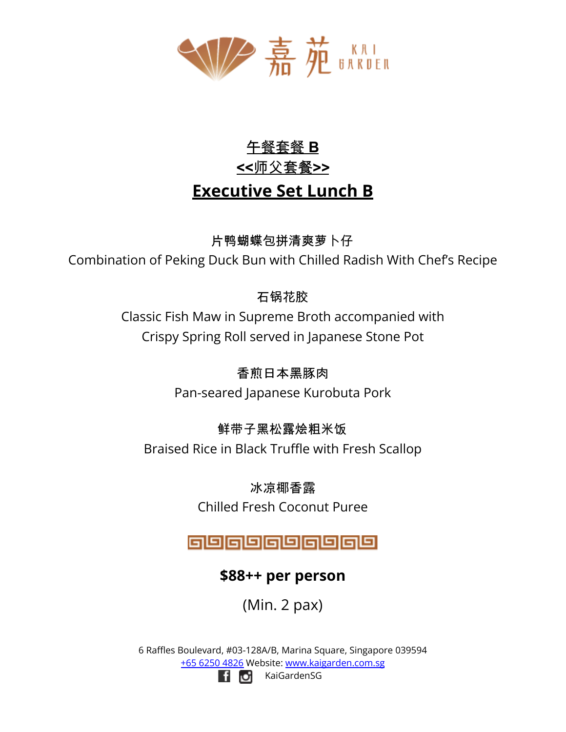

# 午餐套餐 **B <<**师父套餐**>> Executive Set Lunch B**

片鸭蝴蝶包拼清爽萝卜仔

Combination of Peking Duck Bun with Chilled Radish With Chef's Recipe

## 石锅花胶

Classic Fish Maw in Supreme Broth accompanied with Crispy Spring Roll served in Japanese Stone Pot

香煎日本黑豚肉

Pan-seared Japanese Kurobuta Pork

### 鲜带子黑松露烩粗米饭

Braised Rice in Black Truffle with Fresh Scallop

冰凉椰香露 Chilled Fresh Coconut Puree

# @@@@@@@@@@

## **\$88++ per person**

(Min. 2 pax)

6 Raffles Boulevard, #03-128A/B, Marina Square, Singapore 039594 +65 6250 4826 Website: [www.kaigarden.com.sg](http://www.kaigarden.com.sg) KaiGardenSGf of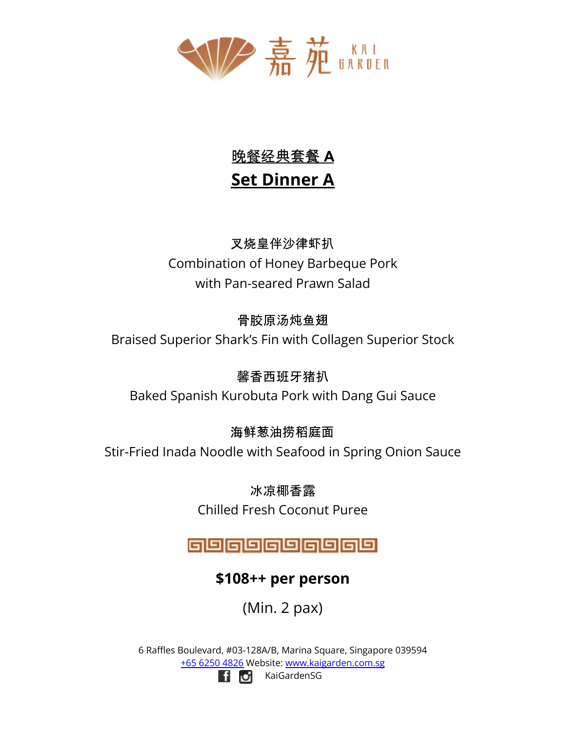

# 晚餐经典套餐 **A Set Dinner A**

叉烧皇伴沙律虾扒 Combination of Honey Barbeque Pork with Pan-seared Prawn Salad

### 骨胶原汤炖鱼翅

Braised Superior Shark's Fin with Collagen Superior Stock

### 馨香西班牙猪扒

Baked Spanish Kurobuta Pork with Dang Gui Sauce

# 海鲜葱油捞稻庭面

Stir-Fried Inada Noodle with Seafood in Spring Onion Sauce

冰凉椰香露 Chilled Fresh Coconut Puree

# 9989999899

## **\$108++ per person**

(Min. 2 pax)

6 Raffles Boulevard, #03-128A/B, Marina Square, Singapore 039594 +65 6250 4826 Website: [www.kaigarden.com.sg](http://www.kaigarden.com.sg)



KaiGardenSG